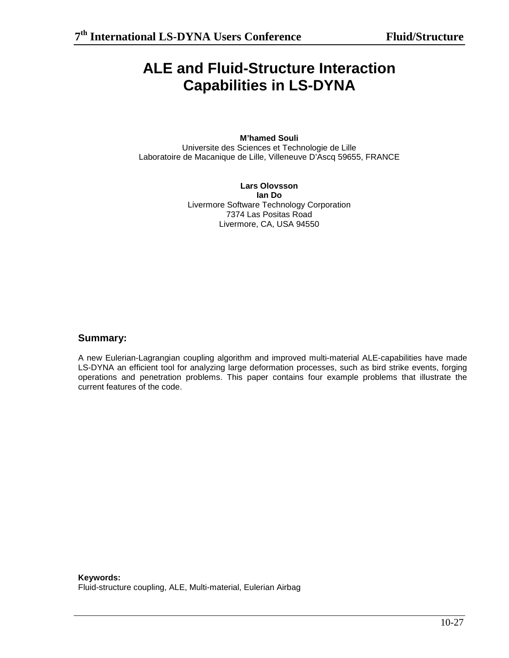# **ALE and Fluid-Structure Interaction Capabilities in LS-DYNA**

### **M'hamed Souli**

Universite des Sciences et Technologie de Lille Laboratoire de Macanique de Lille, Villeneuve D'Ascq 59655, FRANCE

> **Lars Olovsson Ian Do**  Livermore Software Technology Corporation 7374 Las Positas Road Livermore, CA, USA 94550

## **Summary:**

A new Eulerian-Lagrangian coupling algorithm and improved multi-material ALE-capabilities have made LS-DYNA an efficient tool for analyzing large deformation processes, such as bird strike events, forging operations and penetration problems. This paper contains four example problems that illustrate the current features of the code.

**Keywords:**  Fluid-structure coupling, ALE, Multi-material, Eulerian Airbag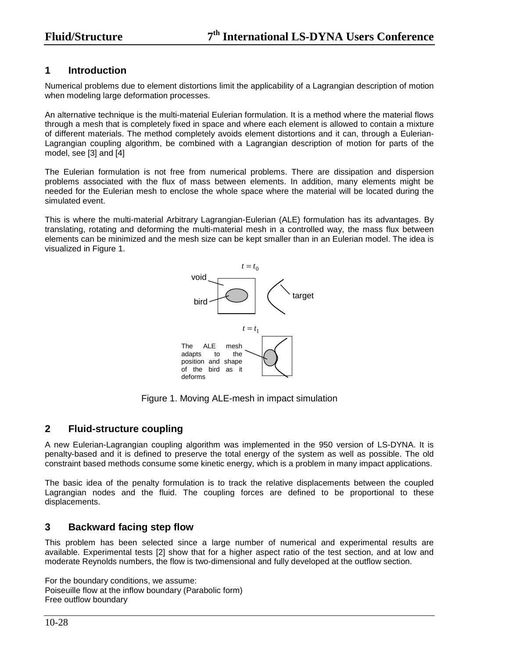## **1 Introduction**

Numerical problems due to element distortions limit the applicability of a Lagrangian description of motion when modeling large deformation processes.

An alternative technique is the multi-material Eulerian formulation. It is a method where the material flows through a mesh that is completely fixed in space and where each element is allowed to contain a mixture of different materials. The method completely avoids element distortions and it can, through a Eulerian-Lagrangian coupling algorithm, be combined with a Lagrangian description of motion for parts of the model, see [3] and [4]

The Eulerian formulation is not free from numerical problems. There are dissipation and dispersion problems associated with the flux of mass between elements. In addition, many elements might be needed for the Eulerian mesh to enclose the whole space where the material will be located during the simulated event.

This is where the multi-material Arbitrary Lagrangian-Eulerian (ALE) formulation has its advantages. By translating, rotating and deforming the multi-material mesh in a controlled way, the mass flux between elements can be minimized and the mesh size can be kept smaller than in an Eulerian model. The idea is visualized in Figure 1.



Figure 1. Moving ALE-mesh in impact simulation

## **2 Fluid-structure coupling**

A new Eulerian-Lagrangian coupling algorithm was implemented in the 950 version of LS-DYNA. It is penalty-based and it is defined to preserve the total energy of the system as well as possible. The old constraint based methods consume some kinetic energy, which is a problem in many impact applications.

The basic idea of the penalty formulation is to track the relative displacements between the coupled Lagrangian nodes and the fluid. The coupling forces are defined to be proportional to these displacements.

## **3 Backward facing step flow**

This problem has been selected since a large number of numerical and experimental results are available. Experimental tests [2] show that for a higher aspect ratio of the test section, and at low and moderate Reynolds numbers, the flow is two-dimensional and fully developed at the outflow section.

For the boundary conditions, we assume: Poiseuille flow at the inflow boundary (Parabolic form) Free outflow boundary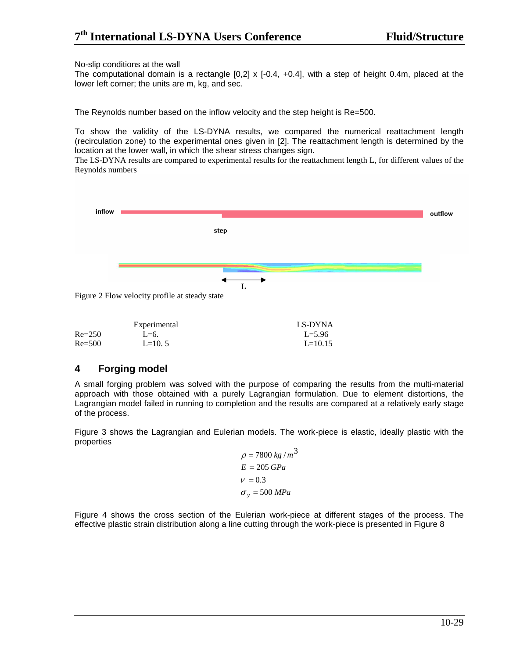#### No-slip conditions at the wall

The computational domain is a rectangle  $[0,2] \times [-0.4, +0.4]$ , with a step of height 0.4m, placed at the lower left corner; the units are m, kg, and sec.

The Reynolds number based on the inflow velocity and the step height is Re=500.

To show the validity of the LS-DYNA results, we compared the numerical reattachment length (recirculation zone) to the experimental ones given in [2]. The reattachment length is determined by the location at the lower wall, in which the shear stress changes sign.

The LS-DYNA results are compared to experimental results for the reattachment length L, for different values of the Reynolds numbers



|            | Experimental | LS-DYNA    |
|------------|--------------|------------|
| $Re=250$   | $L=6$ .      | $L = 5.96$ |
| $Re = 500$ | $L=10.5$     | $L=10.15$  |

## **4 Forging model**

A small forging problem was solved with the purpose of comparing the results from the multi-material approach with those obtained with a purely Lagrangian formulation. Due to element distortions, the Lagrangian model failed in running to completion and the results are compared at a relatively early stage of the process.

Figure 3 shows the Lagrangian and Eulerian models. The work-piece is elastic, ideally plastic with the properties

> $\sigma_y$  = 500 *MPa*  $E = 205 \, GPa$  $\rho = 7800 \ kg/m^3$  $v = 0.3$

Figure 4 shows the cross section of the Eulerian work-piece at different stages of the process. The effective plastic strain distribution along a line cutting through the work-piece is presented in Figure 8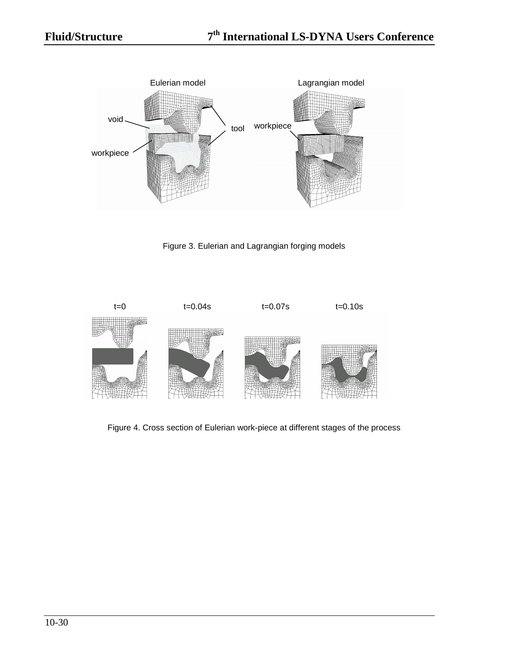

Figure 3. Eulerian and Lagrangian forging models



Figure 4. Cross section of Eulerian work-piece at different stages of the process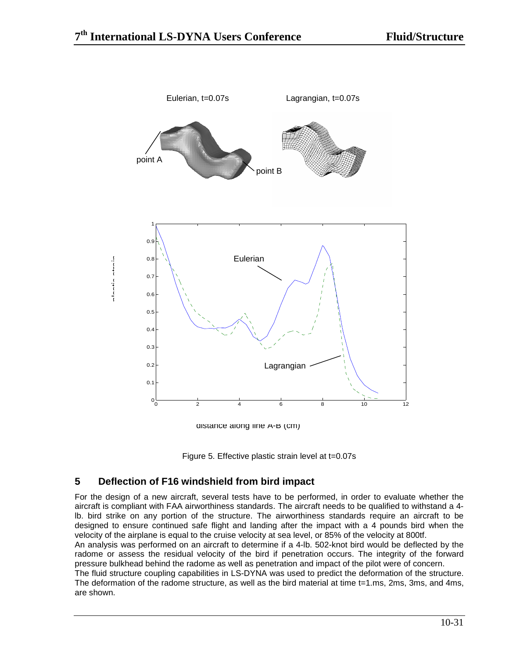

distance along line A-B (cm)



# **5 Deflection of F16 windshield from bird impact**

For the design of a new aircraft, several tests have to be performed, in order to evaluate whether the aircraft is compliant with FAA airworthiness standards. The aircraft needs to be qualified to withstand a 4 lb. bird strike on any portion of the structure. The airworthiness standards require an aircraft to be designed to ensure continued safe flight and landing after the impact with a 4 pounds bird when the velocity of the airplane is equal to the cruise velocity at sea level, or 85% of the velocity at 800tf.

An analysis was performed on an aircraft to determine if a 4-lb. 502-knot bird would be deflected by the radome or assess the residual velocity of the bird if penetration occurs. The integrity of the forward pressure bulkhead behind the radome as well as penetration and impact of the pilot were of concern.

The fluid structure coupling capabilities in LS-DYNA was used to predict the deformation of the structure. The deformation of the radome structure, as well as the bird material at time t=1.ms, 2ms, 3ms, and 4ms, are shown.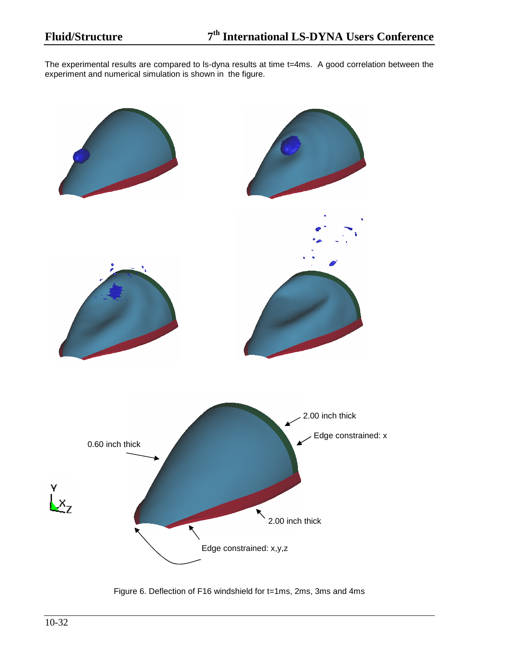The experimental results are compared to ls-dyna results at time t=4ms. A good correlation between the experiment and numerical simulation is shown in the figure.



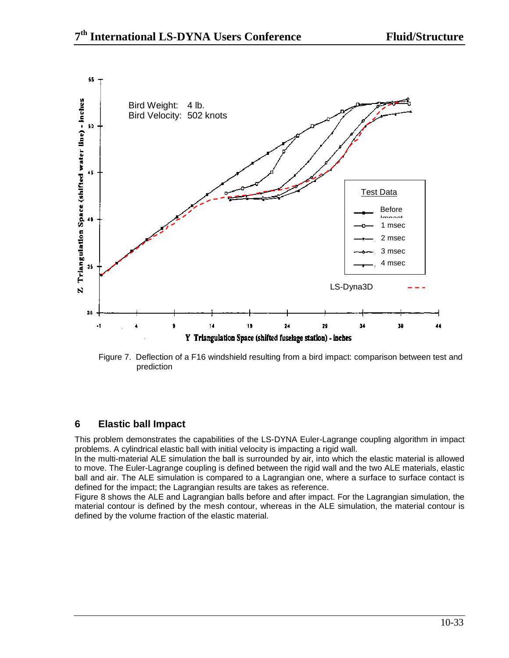

Figure 7. Deflection of a F16 windshield resulting from a bird impact: comparison between test and prediction

# **6 Elastic ball Impact**

This problem demonstrates the capabilities of the LS-DYNA Euler-Lagrange coupling algorithm in impact problems. A cylindrical elastic ball with initial velocity is impacting a rigid wall.

In the multi-material ALE simulation the ball is surrounded by air, into which the elastic material is allowed to move. The Euler-Lagrange coupling is defined between the rigid wall and the two ALE materials, elastic ball and air. The ALE simulation is compared to a Lagrangian one, where a surface to surface contact is defined for the impact; the Lagrangian results are takes as reference.

Figure 8 shows the ALE and Lagrangian balls before and after impact. For the Lagrangian simulation, the material contour is defined by the mesh contour, whereas in the ALE simulation, the material contour is defined by the volume fraction of the elastic material.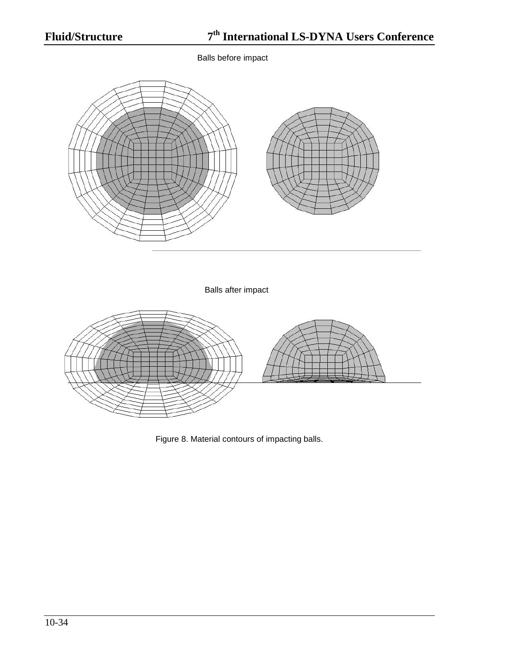Balls before impact



Balls after impact



Figure 8. Material contours of impacting balls.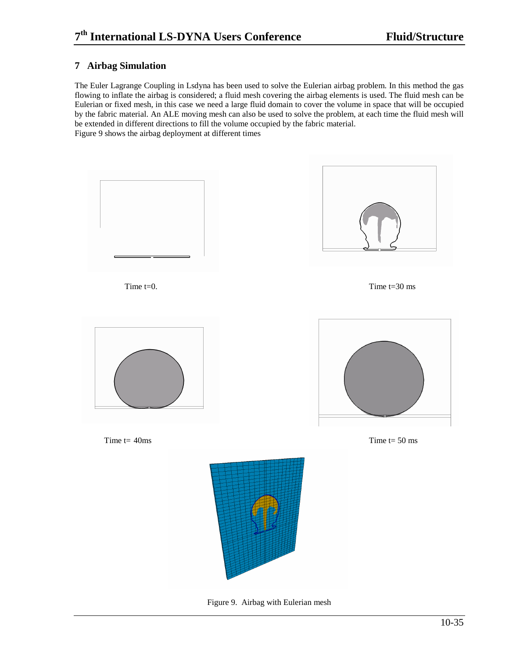## **7 Airbag Simulation**

The Euler Lagrange Coupling in Lsdyna has been used to solve the Eulerian airbag problem. In this method the gas flowing to inflate the airbag is considered; a fluid mesh covering the airbag elements is used. The fluid mesh can be Eulerian or fixed mesh, in this case we need a large fluid domain to cover the volume in space that will be occupied by the fabric material. An ALE moving mesh can also be used to solve the problem, at each time the fluid mesh will be extended in different directions to fill the volume occupied by the fabric material. Figure 9 shows the airbag deployment at different times



Figure 9. Airbag with Eulerian mesh